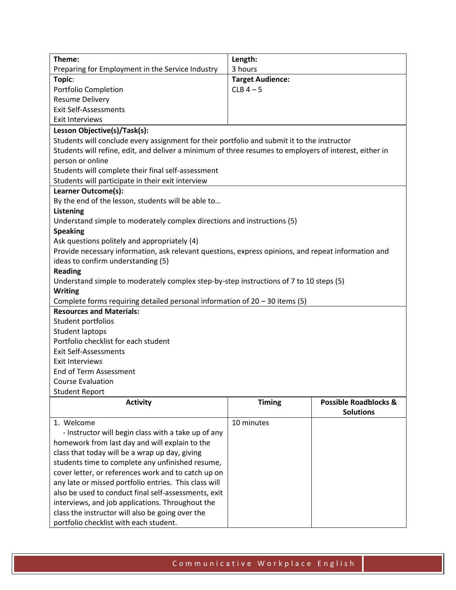| Theme:                                                                                                 | Length:                 |                                  |  |
|--------------------------------------------------------------------------------------------------------|-------------------------|----------------------------------|--|
| Preparing for Employment in the Service Industry                                                       | 3 hours                 |                                  |  |
| Topic:                                                                                                 | <b>Target Audience:</b> |                                  |  |
| Portfolio Completion                                                                                   | $CLB$ 4 - 5             |                                  |  |
| <b>Resume Delivery</b>                                                                                 |                         |                                  |  |
| <b>Exit Self-Assessments</b>                                                                           |                         |                                  |  |
| <b>Exit Interviews</b>                                                                                 |                         |                                  |  |
| Lesson Objective(s)/Task(s):                                                                           |                         |                                  |  |
| Students will conclude every assignment for their portfolio and submit it to the instructor            |                         |                                  |  |
| Students will refine, edit, and deliver a minimum of three resumes to employers of interest, either in |                         |                                  |  |
| person or online                                                                                       |                         |                                  |  |
| Students will complete their final self-assessment                                                     |                         |                                  |  |
| Students will participate in their exit interview                                                      |                         |                                  |  |
| Learner Outcome(s):                                                                                    |                         |                                  |  |
| By the end of the lesson, students will be able to                                                     |                         |                                  |  |
| <b>Listening</b>                                                                                       |                         |                                  |  |
| Understand simple to moderately complex directions and instructions (5)                                |                         |                                  |  |
| <b>Speaking</b>                                                                                        |                         |                                  |  |
| Ask questions politely and appropriately (4)                                                           |                         |                                  |  |
| Provide necessary information, ask relevant questions, express opinions, and repeat information and    |                         |                                  |  |
| ideas to confirm understanding (5)                                                                     |                         |                                  |  |
| <b>Reading</b>                                                                                         |                         |                                  |  |
| Understand simple to moderately complex step-by-step instructions of 7 to 10 steps (5)                 |                         |                                  |  |
| <b>Writing</b>                                                                                         |                         |                                  |  |
| Complete forms requiring detailed personal information of $20 - 30$ items (5)                          |                         |                                  |  |
| <b>Resources and Materials:</b>                                                                        |                         |                                  |  |
| Student portfolios                                                                                     |                         |                                  |  |
| <b>Student laptops</b>                                                                                 |                         |                                  |  |
| Portfolio checklist for each student                                                                   |                         |                                  |  |
| <b>Exit Self-Assessments</b>                                                                           |                         |                                  |  |
| <b>Exit Interviews</b>                                                                                 |                         |                                  |  |
| <b>End of Term Assessment</b>                                                                          |                         |                                  |  |
| <b>Course Evaluation</b>                                                                               |                         |                                  |  |
| <b>Student Report</b>                                                                                  |                         |                                  |  |
| <b>Activity</b>                                                                                        | <b>Timing</b>           | <b>Possible Roadblocks &amp;</b> |  |
|                                                                                                        |                         | <b>Solutions</b>                 |  |
| 1. Welcome                                                                                             | 10 minutes              |                                  |  |
| - Instructor will begin class with a take up of any                                                    |                         |                                  |  |
| homework from last day and will explain to the                                                         |                         |                                  |  |
| class that today will be a wrap up day, giving                                                         |                         |                                  |  |
| students time to complete any unfinished resume,                                                       |                         |                                  |  |
| cover letter, or references work and to catch up on                                                    |                         |                                  |  |
| any late or missed portfolio entries. This class will                                                  |                         |                                  |  |
| also be used to conduct final self-assessments, exit                                                   |                         |                                  |  |
| interviews, and job applications. Throughout the                                                       |                         |                                  |  |
| class the instructor will also be going over the                                                       |                         |                                  |  |

portfolio checklist with each student.